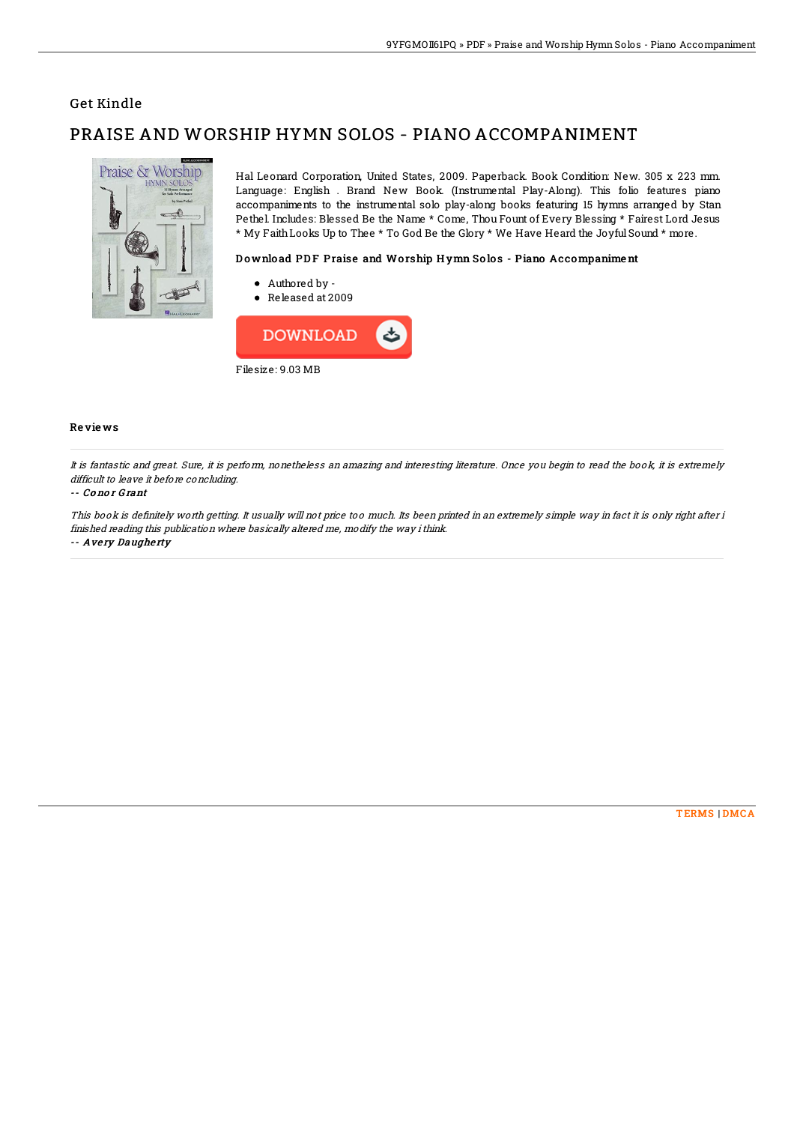### Get Kindle

# PRAISE AND WORSHIP HYMN SOLOS - PIANO ACCOMPANIMENT



Hal Leonard Corporation, United States, 2009. Paperback. Book Condition: New. 305 x 223 mm. Language: English . Brand New Book. (Instrumental Play-Along). This folio features piano accompaniments to the instrumental solo play-along books featuring 15 hymns arranged by Stan Pethel Includes: Blessed Be the Name \* Come, Thou Fount of Every Blessing \* Fairest Lord Jesus \* My Faith Looks Up to Thee \* To God Be the Glory \* We Have Heard the Joyful Sound \* more.

#### Download PDF Praise and Worship Hymn Solos - Piano Accompaniment

- Authored by -
- Released at 2009



#### Reviews

It is fantastic and great. Sure, it is perform, nonetheless an amazing and interesting literature. Once you begin to read the book, it is extremely difficult to leave it before concluding.

#### -- Conor Grant

This book is definitely worth getting. It usually will not price too much. Its been printed in an extremely simple way in fact it is only right after i finished reading this publication where basically altered me, modify the way i think. -- Avery Daugherty